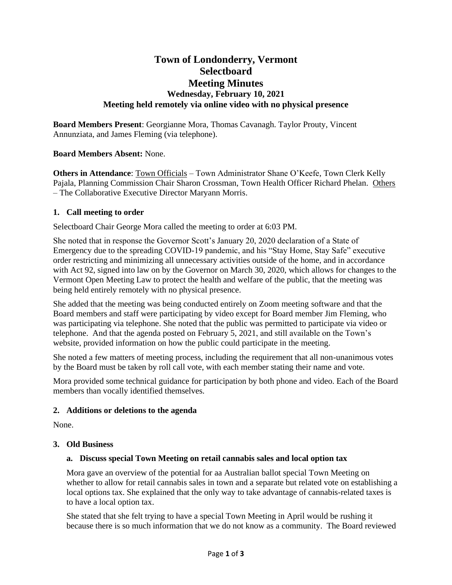# **Town of Londonderry, Vermont Selectboard Meeting Minutes Wednesday, February 10, 2021 Meeting held remotely via online video with no physical presence**

**Board Members Present**: Georgianne Mora, Thomas Cavanagh. Taylor Prouty, Vincent Annunziata, and James Fleming (via telephone).

## **Board Members Absent:** None.

**Others in Attendance**: Town Officials – Town Administrator Shane O'Keefe, Town Clerk Kelly Pajala, Planning Commission Chair Sharon Crossman, Town Health Officer Richard Phelan. Others – The Collaborative Executive Director Maryann Morris.

#### **1. Call meeting to order**

Selectboard Chair George Mora called the meeting to order at 6:03 PM.

She noted that in response the Governor Scott's January 20, 2020 declaration of a State of Emergency due to the spreading COVID-19 pandemic, and his "Stay Home, Stay Safe" executive order restricting and minimizing all unnecessary activities outside of the home, and in accordance with Act 92, signed into law on by the Governor on March 30, 2020, which allows for changes to the Vermont Open Meeting Law to protect the health and welfare of the public, that the meeting was being held entirely remotely with no physical presence.

She added that the meeting was being conducted entirely on Zoom meeting software and that the Board members and staff were participating by video except for Board member Jim Fleming, who was participating via telephone. She noted that the public was permitted to participate via video or telephone. And that the agenda posted on February 5, 2021, and still available on the Town's website, provided information on how the public could participate in the meeting.

She noted a few matters of meeting process, including the requirement that all non-unanimous votes by the Board must be taken by roll call vote, with each member stating their name and vote.

Mora provided some technical guidance for participation by both phone and video. Each of the Board members than vocally identified themselves.

## **2. Additions or deletions to the agenda**

None.

#### **3. Old Business**

## **a. Discuss special Town Meeting on retail cannabis sales and local option tax**

Mora gave an overview of the potential for aa Australian ballot special Town Meeting on whether to allow for retail cannabis sales in town and a separate but related vote on establishing a local options tax. She explained that the only way to take advantage of cannabis-related taxes is to have a local option tax.

She stated that she felt trying to have a special Town Meeting in April would be rushing it because there is so much information that we do not know as a community. The Board reviewed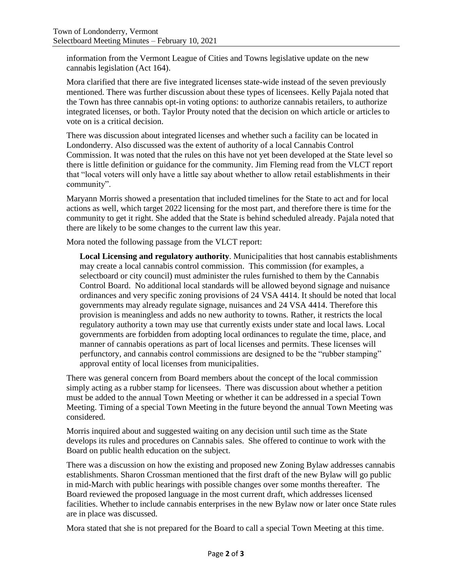information from the Vermont League of Cities and Towns legislative update on the new cannabis legislation (Act 164).

Mora clarified that there are five integrated licenses state-wide instead of the seven previously mentioned. There was further discussion about these types of licensees. Kelly Pajala noted that the Town has three cannabis opt-in voting options: to authorize cannabis retailers, to authorize integrated licenses, or both. Taylor Prouty noted that the decision on which article or articles to vote on is a critical decision.

There was discussion about integrated licenses and whether such a facility can be located in Londonderry. Also discussed was the extent of authority of a local Cannabis Control Commission. It was noted that the rules on this have not yet been developed at the State level so there is little definition or guidance for the community. Jim Fleming read from the VLCT report that "local voters will only have a little say about whether to allow retail establishments in their community".

Maryann Morris showed a presentation that included timelines for the State to act and for local actions as well, which target 2022 licensing for the most part, and therefore there is time for the community to get it right. She added that the State is behind scheduled already. Pajala noted that there are likely to be some changes to the current law this year.

Mora noted the following passage from the VLCT report:

**Local Licensing and regulatory authority**. Municipalities that host cannabis establishments may create a local cannabis control commission. This commission (for examples, a selectboard or city council) must administer the rules furnished to them by the Cannabis Control Board. No additional local standards will be allowed beyond signage and nuisance ordinances and very specific zoning provisions of 24 VSA 4414. It should be noted that local governments may already regulate signage, nuisances and 24 VSA 4414. Therefore this provision is meaningless and adds no new authority to towns. Rather, it restricts the local regulatory authority a town may use that currently exists under state and local laws. Local governments are forbidden from adopting local ordinances to regulate the time, place, and manner of cannabis operations as part of local licenses and permits. These licenses will perfunctory, and cannabis control commissions are designed to be the "rubber stamping" approval entity of local licenses from municipalities.

There was general concern from Board members about the concept of the local commission simply acting as a rubber stamp for licensees. There was discussion about whether a petition must be added to the annual Town Meeting or whether it can be addressed in a special Town Meeting. Timing of a special Town Meeting in the future beyond the annual Town Meeting was considered.

Morris inquired about and suggested waiting on any decision until such time as the State develops its rules and procedures on Cannabis sales. She offered to continue to work with the Board on public health education on the subject.

There was a discussion on how the existing and proposed new Zoning Bylaw addresses cannabis establishments. Sharon Crossman mentioned that the first draft of the new Bylaw will go public in mid-March with public hearings with possible changes over some months thereafter. The Board reviewed the proposed language in the most current draft, which addresses licensed facilities. Whether to include cannabis enterprises in the new Bylaw now or later once State rules are in place was discussed.

Mora stated that she is not prepared for the Board to call a special Town Meeting at this time.